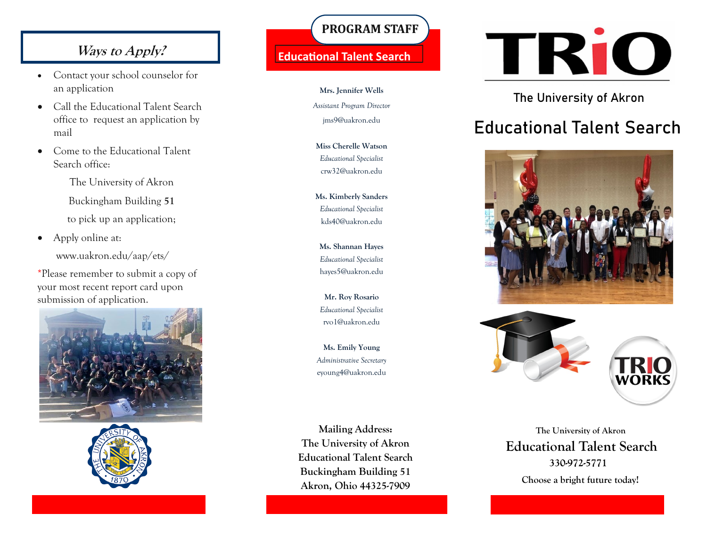## **Ways to Apply?**

- Contact your school counselor for an application
- Call the Educational Talent Search office to request an application by mail
- Come to the Educational Talent Search office:

The University of Akron Buckingham Building **51**

to pick up an application;

• Apply online at: www.uakron.edu/aap/ets/

\*Please remember to submit a copy of your most recent report card upon submission of application.





## **PROGRAM STAFF**

### **Educational Talent Search**

**Mrs. Jennifer Wells** *Assistant Program Director* jms9@uakron.edu

**Miss Cherelle Watson** *Educational Specialist* crw32@uakron.edu

**Ms. Kimberly Sanders** *Educational Specialist* kds40@uakron.edu

**Ms. Shannan Hayes** *Educational Specialist* hayes5@uakron.edu

**Mr. Roy Rosario** *Educational Specialist* rvo1@uakron.edu

**Ms. Emily Young** *Administrative Secretary* eyoung4@uakron.edu

**Mailing Address: The University of Akron Educational Talent Search Buckingham Building 51 Akron, Ohio 44325-7909**



## The University of Akron

# Educational Talent Search





 **The University of Akron Educational Talent Search** 330-972-5771

 **Choose a bright future today!**